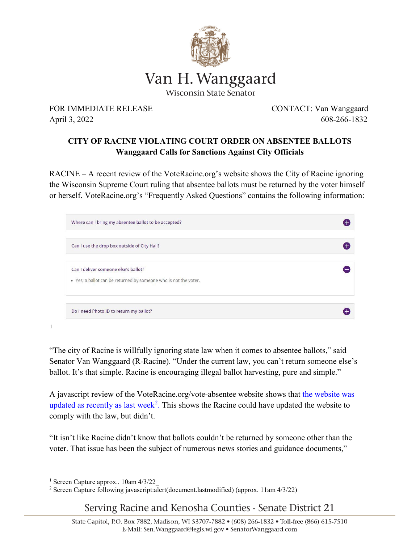

FOR IMMEDIATE RELEASE CONTACT: Van Wanggaard April 3, 2022 608-266-1832

## **CITY OF RACINE VIOLATING COURT ORDER ON ABSENTEE BALLOTS Wanggaard Calls for Sanctions Against City Officials**

RACINE – A recent review of the VoteRacine.org's website shows the City of Racine ignoring the Wisconsin Supreme Court ruling that absentee ballots must be returned by the voter himself or herself. VoteRacine.org's "Frequently Asked Questions" contains the following information:

| Where can I bring my absentee ballot to be accepted?                                                     |  |
|----------------------------------------------------------------------------------------------------------|--|
| Can I use the drop box outside of City Hall?                                                             |  |
| Can I deliver someone else's ballot?<br>. Yes, a ballot can be returned by someone who is not the voter. |  |
| Do I need Photo ID to return my ballot?                                                                  |  |

[1](#page-0-0)

"The city of Racine is willfully ignoring state law when it comes to absentee ballots," said Senator Van Wanggaard (R-Racine). "Under the current law, you can't return someone else's ballot. It's that simple. Racine is encouraging illegal ballot harvesting, pure and simple."

A javascript review of the VoteRacine.org/vote-absentee website shows that the website was [updated as recently as last week](file://FS1/eupdates$/Sen21/vote%20racine%20updated.JPG)<sup>[2](#page-0-1)</sup>. This shows the Racine could have updated the website to comply with the law, but didn't.

"It isn't like Racine didn't know that ballots couldn't be returned by someone other than the voter. That issue has been the subject of numerous news stories and guidance documents,"

Serving Racine and Kenosha Counties - Senate District 21

 $\overline{a}$ <sup>1</sup> Screen Capture approx.. 10am 4/3/22\_

<span id="page-0-1"></span><span id="page-0-0"></span><sup>&</sup>lt;sup>2</sup> Screen Capture following javascript:alert(document.lastmodified) (approx. 11am 4/3/22)